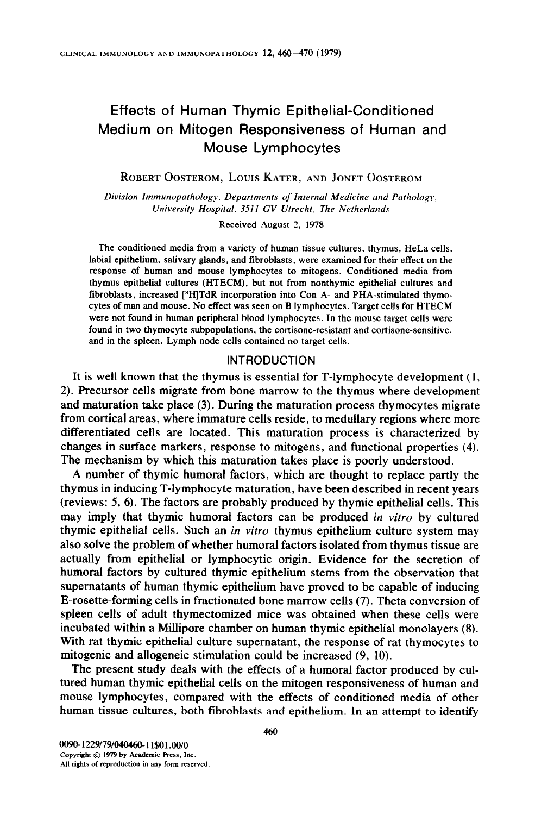# Effects of Human Thymic Epithelial-Conditioned Medium on Mitogen Responsiveness of Human and Mouse Lymphocytes

ROBERT OOSTEROM, LOUIS KATER, AND JONET OOSTEROM

Division Immunopathology, Departments of Internal Medicine and Pathology, University Hospital, 3SlI GV Vtrecht, The Netherlands

Received August 2, 1978

The conditioned media from a variety of human tissue cultures, thymus, HeLa cells, labial epithelium, salivary glands, and fibroblasts, were examined for their effect on the response of human and mouse lymphocytes to mitogens. Conditioned media from thymus epithelial cultures (HTECM), but not from nonthymic epithelial cultures and fibroblasts, increased [<sup>3</sup>H]TdR incorporation into Con A- and PHA-stimulated thymocytes of man and mouse. No effect was seen on B lymphocytes. Target cells for HTECM were not found in human peripheral blood lymphocytes. In the mouse target cells were found in two thymocyte subpopulations, the cortisone-resistant and cortisone-sensitive. and in the spleen. Lymph node cells contained no target cells.

#### INTRODUCTION

It is well known that the thymus is essential for T-lymphocyte development (1, 2). Precursor cells migrate from bone marrow to the thymus where development and maturation take place (3). During the maturation process thymocytes migrate from cortical areas, where immature cells reside, to medullary regions where more differentiated cells are located. This maturation process is characterized by changes in surface markers, response to mitogens, and functional properties (4). The mechanism by which this maturation takes place is poorly understood.

A number of thymic humoral factors, which are thought to replace partly the thymus in inducing T-lymphocyte maturation, have been described in recent years (reviews: 5, 6). The factors are probably produced by thymic epithelial cells. This may imply that thymic humoral factors can be produced in vitro by cultured thymic epithelial cells. Such an *in vitro* thymus epithelium culture system may also solve the problem of whether humoral factors isolated from thymus tissue are actually from epithelial or lymphocytic origin. Evidence for the secretion of humoral factors by cultured thymic epithelium stems from the observation that supernatants of human thymic epithelium have proved to be capable of inducing E-rosette-forming cells in fractionated bone marrow cells (7). Theta conversion of spleen cells of adult thymectomized mice was obtained when these cells were incubated within a Millipore chamber on human thymic epithelial monolayers (8). With rat thymic epithelial culture supematant, the response of rat thymocytes to mitogenic and allogeneic stimulation could be increased (9, 10).

The present study deals with the effects of a humoral factor produced by cultured human thymic epithelial cells on the mitogen responsiveness of human and mouse lymphocytes, compared with the effects of conditioned media of other human tissue cultures, both fibroblasts and epithelium. In an attempt to identify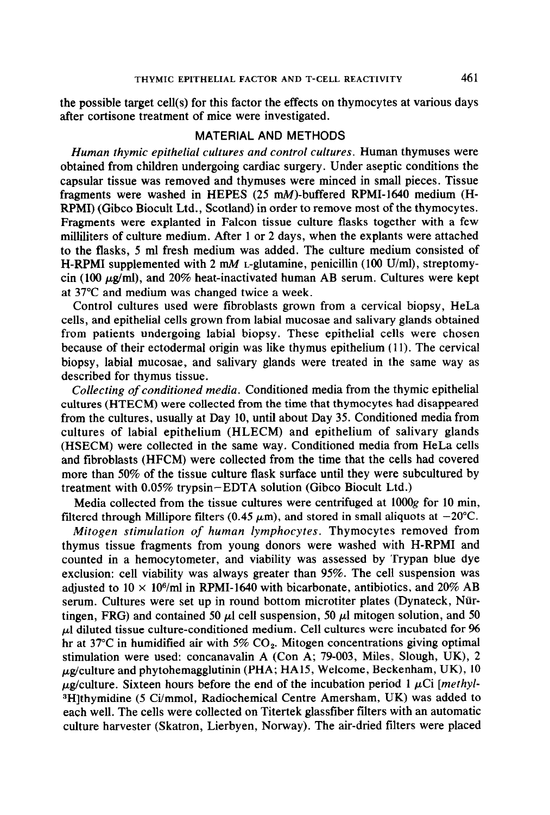the possible target cell(s) for this factor the effects on thymocytes at various days after cortisone treatment of mice were investigated.

## MATERIAL AND METHODS

Human thymic epithelial cultures and control cultures. Human thymuses were obtained from children undergoing cardiac surgery. Under aseptic conditions the capsular tissue was removed and thymuses were minced in small pieces. Tissue fragments were washed in HEPES (25 mM)-buffered RPMI-1640 medium (H-RPMI) (Gibco Biocult Ltd., Scotland) in order to remove most of the thymocytes. Fragments were explanted in Falcon tissue culture flasks together with a few milliliters of culture medium. After 1 or 2 days, when the explants were attached to the flasks, 5 ml fresh medium was added. The culture medium consisted of H-RPMI supplemented with 2 mM L-glutamine, penicillin (100 U/ml), streptomycin (100  $\mu$ g/ml), and 20% heat-inactivated human AB serum. Cultures were kept at 37°C and medium was changed twice a week.

Control cultures used were fibroblasts grown from a cervical biopsy, HeLa cells, and epithelial cells grown from labial mucosae and salivary glands obtained from patients undergoing labial biopsy. These epithelial cells were chosen because of their ectodermal origin was like thymus epithelium ( 11). The cervical biopsy, labial mucosae, and salivary glands were treated in the same way as described for thymus tissue.

Collecting of conditioned media. Conditioned media from the thymic epithelial cultures (HTECM) were collected from the time that thymocytes had disappeared from the cultures, usually at Day 10, until about Day 35. Conditioned media from cultures of labial epithelium (HLECM) and epithelium of salivary glands (HSECM) were collected in the same way. Conditioned media from HeLa cells and fibroblasts (HFCM) were collected from the time that the cells had covered more than 50% of the tissue culture flask surface until they were subcultured by treatment with 0.05% trypsin-EDTA solution (Gibco Biocult Ltd.)

Media collected from the tissue cultures were centrifuged at 1OOOg for 10 min, filtered through Millipore filters (0.45  $\mu$ m), and stored in small aliquots at -20°C.

Mitogen stimulation of human lymphocytes. Thymocytes removed from thymus tissue fragments from young donors were washed with H-RPM1 and counted in a hemocytometer, and viability was assessed by Trypan blue dye exclusion: cell viability was always greater than 95%. The cell suspension was adjusted to  $10 \times 10^6$ /ml in RPMI-1640 with bicarbonate, antibiotics, and  $20\%$  AB serum. Cultures were set up in round bottom microtiter plates (Dynateck, Nürtingen, FRG) and contained 50  $\mu$ l cell suspension, 50  $\mu$ l mitogen solution, and 50  $\mu$ l diluted tissue culture-conditioned medium. Cell cultures were incubated for 96 hr at  $37^{\circ}$ C in humidified air with  $5\%$  CO<sub>2</sub>. Mitogen concentrations giving optimal stimulation were used: concanavalin A (Con A; 79-003, Miles. Slough, UK), 2  $\mu$ g/culture and phytohemagglutinin (PHA; HA15, Welcome, Beckenham, UK), 10  $\mu$ g/culture. Sixteen hours before the end of the incubation period 1  $\mu$ Ci [methyl-<sup>3</sup>H]thymidine (5 Ci/mmol, Radiochemical Centre Amersham, UK) was added to each well. The cells were collected on Titertek glassfiber filters with an automatic culture harvester (Skatron, Lierbyen, Norway). The air-dried filters were placed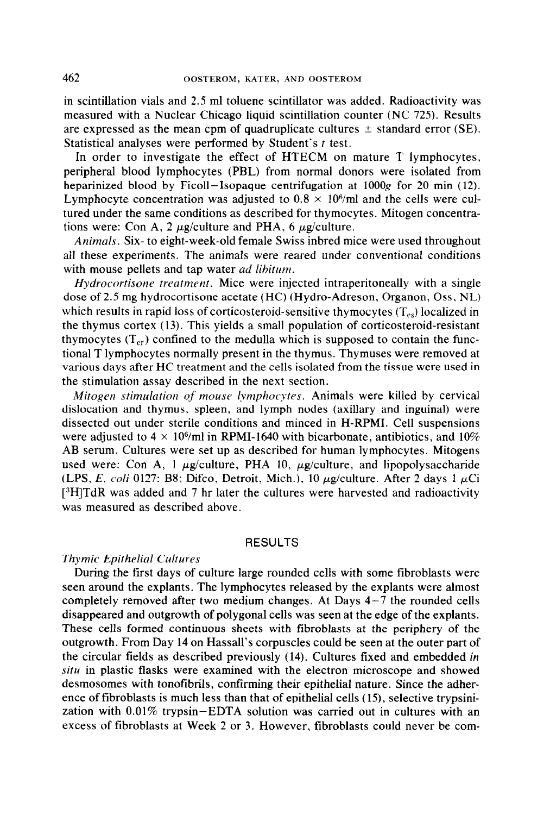in scintillation vials and 2.5 ml toluene scintillator was added. Radioactivity was measured with a Nuclear Chicago liquid scintillation counter (NC 725). Results are expressed as the mean cpm of quadruplicate cultures  $\pm$  standard error (SE). Statistical analyses were performed by Student's t test.

In order to investigate the effect of HTECM on mature T lymphocytes, peripheral blood lymphocytes (PBL) from normal donors were isolated from heparinized blood by Ficoll-Isopaque centrifugation at  $1000g$  for 20 min (12). Lymphocyte concentration was adjusted to  $0.8 \times 10^6$ /ml and the cells were cultured under the same conditions as described for thymocytes. Mitogen concentrations were: Con A, 2  $\mu$ g/culture and PHA, 6  $\mu$ g/culture.

Animals. Six- to eight-week-old female Swiss inbred mice were used throughout all these experiments. The animals were reared under conventional conditions with mouse pellets and tap water *ad libitum*.

Hydrocortisone treatment. Mice were injected intraperitoneally with a single dose of 2.5 mg hydrocortisone acetate (HC) (Hydro-Adreson, Organon, Oss. NL) which results in rapid loss of corticosteroid-sensitive thymocytes  $(T_{cs})$  localized in the thymus cortex (13). This yields a small population of corticosteroid-resistant thymocytes  $(T_{cr})$  confined to the medulla which is supposed to contain the functional T lymphocytes normally present in the thymus. Thymuses were removed at various days after HC treatment and the cells isolated from the tissue were used in the stimulation assay described in the next section.

Mitogen stimulation of mouse lymphocytes. Animals were killed by cervical dislocation and thymus. spleen, and lymph nodes (axillary and inguinal) were dissected out under sterile conditions and minced in H-RPMI. Cell suspensions were adjusted to  $4 \times 10^6$ /ml in RPMI-1640 with bicarbonate, antibiotics, and  $10\%$ AB serum. Cultures were set up as described for human lymphocytes. Mitogens used were: Con A, 1  $\mu$ g/culture, PHA 10,  $\mu$ g/culture, and lipopolysaccharide (LPS, E. coli 0127: B8; Difco, Detroit, Mich.), 10  $\mu$ g/culture. After 2 days 1  $\mu$ Ci  $[^{3}H]TdR$  was added and 7 hr later the cultures were harvested and radioactivity was measured as described above.

#### RESULTS

### Thymic Epithelial Cultures

During the first days of culture large rounded cells with some fibroblasts were seen around the explants. The lymphocytes released by the explants were almost completely removed after two medium changes. At Days  $4-7$  the rounded cells disappeared and outgrowth of polygonal cells was seen at the edge of the explants. These cells formed continuous sheets with fibroblasts at the periphery of the outgrowth. From Day 14 on Hassall's corpuscles could be seen at the outer part of the circular fields as described previously (14). Cultures fixed and embedded in situ in plastic flasks were examined with the electron microscope and showed desmosomes with tonotibrils, confirming their epithelial nature. Since the adherence of tibroblasts is much less than that of epithelial cells (15), selective trypsinization with 0.01% trypsin-EDTA solution was carried out in cultures with an excess of fibroblasts at Week 2 or 3. However, fibroblasts could never be com-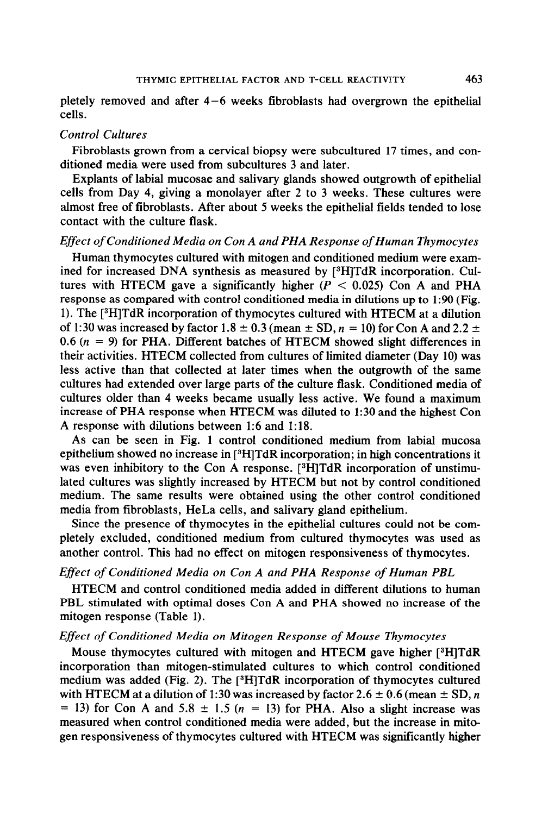pletely removed and after 4-6 weeks fibroblasts had overgrown the epithelial cells.

## Control Cultures

Fibroblasts grown from a cervical biopsy were subcultured 17 times, and conditioned media were used from subcultures 3 and later.

Explants of labial mucosae and salivary glands showed outgrowth of epithelial cells from Day 4, giving a monolayer after 2 to 3 weeks. These cultures were almost free of fibroblasts. After about 5 weeks the epithelial fields tended to lose contact with the culture flask.

### Effect of Conditioned Media on Con A and PHA Response of Human Thymocytes

Human thymocytes cultured with mitogen and conditioned medium were examined for increased DNA synthesis as measured by [<sup>3</sup>H]TdR incorporation. Cultures with HTECM gave a significantly higher  $(P < 0.025)$  Con A and PHA response as compared with control conditioned media in dilutions up to 1:90 (Fig. 1). The [3H]TdR incorporation of thymocytes cultured with HTECM at a dilution of 1:30 was increased by factor 1.8  $\pm$  0.3 (mean  $\pm$  SD,  $n = 10$ ) for Con A and 2.2  $\pm$ 0.6 ( $n = 9$ ) for PHA. Different batches of HTECM showed slight differences in their activities. HTECM collected from cultures of limited diameter (Day 10) was less active than that collected at later times when the outgrowth of the same cultures had extended over large parts of the culture flask. Conditioned media of cultures older than 4 weeks became usually less active. We found a maximum increase of PHA response when HTECM was diluted to 1:30 and the highest Con A response with dilutions between 1:6 and 1:18.

As can be seen in Fig. 1 control conditioned medium from labial mucosa epithelium showed no increase in [3H]TdR incorporation; in high concentrations it was even inhibitory to the Con A response. [<sup>3</sup>H]TdR incorporation of unstimulated cultures was slightly increased by HTECM but not by control conditioned medium. The same results were obtained using the other control conditioned media from fibroblasts, HeLa cells, and salivary gland epithelium.

Since the presence of thymocytes in the epithelial cultures could not be completely excluded, conditioned medium from cultured thymocytes was used as another control. This had no effect on mitogen responsiveness of thymocytes.

## Effect of Conditioned Media on Con A and PHA Response of Human PBL

HTECM and control conditioned media added in different dilutions to human PBL stimulated with optimal doses Con A and PHA showed no increase of the mitogen response (Table 1).

#### Effect of Conditioned Media on Mitogen Response of Mouse Thymocytes

Mouse thymocytes cultured with mitogen and HTECM gave higher [3H]TdR incorporation than mitogen-stimulated cultures to which control conditioned medium was added (Fig. 2). The  $[{}^{8}H]TdR$  incorporation of thymocytes cultured with HTECM at a dilution of 1:30 was increased by factor 2.6  $\pm$  0.6 (mean  $\pm$  SD, n  $=$  13) for Con A and 5.8  $\pm$  1.5 (n = 13) for PHA. Also a slight increase was measured when control conditioned media were added, but the increase in mitogen responsiveness of thymocytes cultured with HTECM was significantly higher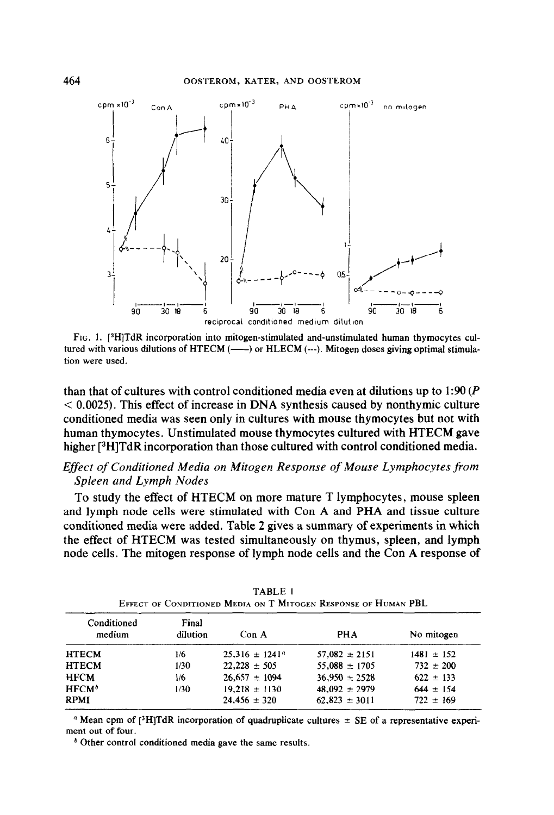

FIG. 1. [<sup>3</sup>H]TdR incorporation into mitogen-stimulated and-unstimulated human thymocytes cultured with various dilutions of HTECM  $(---)$  or HLECM  $(---)$ . Mitogen doses giving optimal stimulation were used.

than that of cultures with control conditioned media even at dilutions up to  $1:90 (P)$  $<$  0.0025). This effect of increase in DNA synthesis caused by nonthymic culture conditioned media was seen only in cultures with mouse thymocytes but not with human thymocytes. Unstimulated mouse thymocytes cultured with HTECM gave higher [<sup>3</sup>H]TdR incorporation than those cultured with control conditioned media.

# Effect of Conditioned Media on Mitogen Response of Mouse Lymphocytes from Spleen and Lymph Nodes

To study the effect of HTECM on more mature T lymphocytes, mouse spleen and lymph node cells were stimulated with Con A and PHA and tissue culture conditioned media were added. Table 2 gives a summary of experiments in which the effect of HTECM was tested simultaneously on thymus, spleen, and lymph node cells. The mitogen response of lymph node cells and the Con A response of

| Conditioned<br>medium | Final<br>dilution | Con A             | <b>PHA</b>        | No mitogen    |
|-----------------------|-------------------|-------------------|-------------------|---------------|
|                       |                   |                   |                   |               |
| <b>HTECM</b>          | 1/30              | $22.228 \pm 505$  | $55,088 \pm 1705$ | $732 \pm 200$ |
| <b>HFCM</b>           | 1/6               | $26,657 \pm 1094$ | $36.950 \pm 2528$ | $622 \pm 133$ |
| $HFCM^b$              | 1/30              | $19.218 \pm 1130$ | $48.092 \pm 2979$ | $644 \pm 154$ |
| <b>RPMI</b>           |                   | $24,456 \pm 320$  | $62.823 \pm 3011$ | $722 \pm 169$ |
|                       |                   |                   |                   |               |

TABLE 1 EFFECT OF CONDITIONED MEDIA ON T MITOGEN RESPONSE OF HUMAN PBL

<sup>*a*</sup> Mean cpm of  $[3H]TdR$  incorporation of quadruplicate cultures  $\pm$  SE of a representative experiment out of four.

\* Other control conditioned media gave the same results.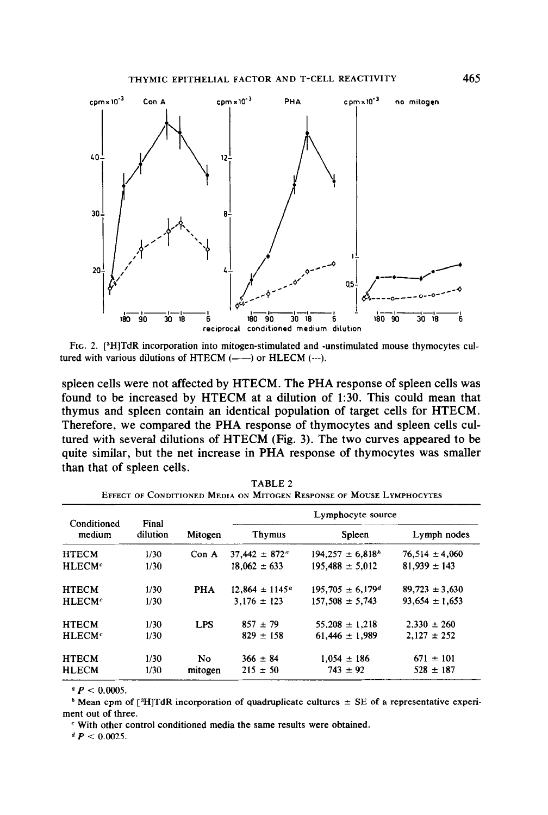

FIG. 2. [<sup>3</sup>H]TdR incorporation into mitogen-stimulated and -unstimulated mouse thymocytes cultured with various dilutions of HTECM (----) or HLECM (---).

spleen cells were not affected by HTECM. The PHA response of spleen cells was found to be increased by HTECM at a dilution of 1:30. This could mean that thymus and spleen contain an identical population of target cells for HTECM. Therefore, we compared the PHA response of thymocytes and spleen cells cultured with several dilutions of HTECM (Fig. 3). The two curves appeared to be quite similar, but the net increase in PHA response of thymocytes was smaller than that of spleen cells.

| Conditioned<br>medium    | Final<br>dilution | Mitogen          | Lymphocyte source         |                       |                    |
|--------------------------|-------------------|------------------|---------------------------|-----------------------|--------------------|
|                          |                   |                  | Thymus                    | Spleen                | Lymph nodes        |
| <b>HTECM</b>             | 1/30              | Con <sub>A</sub> | $37,442 \pm 872^{\circ}$  | $194.257 \pm 6.818^h$ | $76.514 \pm 4.060$ |
| <b>HLECM<sup>c</sup></b> | 1/30              |                  | $18,062 \pm 633$          | $195,488 \pm 5,012$   | $81,939 \pm 143$   |
| <b>HTECM</b>             | 1/30              | <b>PHA</b>       | $12,864 \pm 1145^{\circ}$ | $195,705 \pm 6,179^d$ | $89,723 \pm 3,630$ |
| HLECMc                   | 1/30              |                  | $3.176 \pm 123$           | $157.508 \pm 5.743$   | $93.654 \pm 1.653$ |
| <b>HTECM</b>             | 1/30              | <b>LPS</b>       | $857 + 79$                | $55.208 \pm 1.218$    | $2.330 \pm 260$    |
| HLECMc                   | 1/30              |                  | $829 \pm 158$             | $61.446 \pm 1.989$    | $2.127 \pm 252$    |
| <b>HTECM</b>             | 1/30              | No.              | $366 \pm 84$              | $1.054 \pm 186$       | $671 \pm 101$      |
| <b>HLECM</b>             | 1/30              | mitogen          | $215 \pm 50$              | $743 \pm 92$          | $528 \pm 187$      |

TABLE 2 EFFECT OF CONDITIONED MEDIA ON MITOCEN RESPONSE OF MOUSE LYMPHOCYTES

 $P < 0.0005$ .

<sup>b</sup> Mean cpm of [ $\frac{3H}{T}$ dR incorporation of quadruplicate cultures  $\pm$  SE of a representative experiment out of three.

 $c$  With other control conditioned media the same results were obtained.

d  $P < 0.0025$ .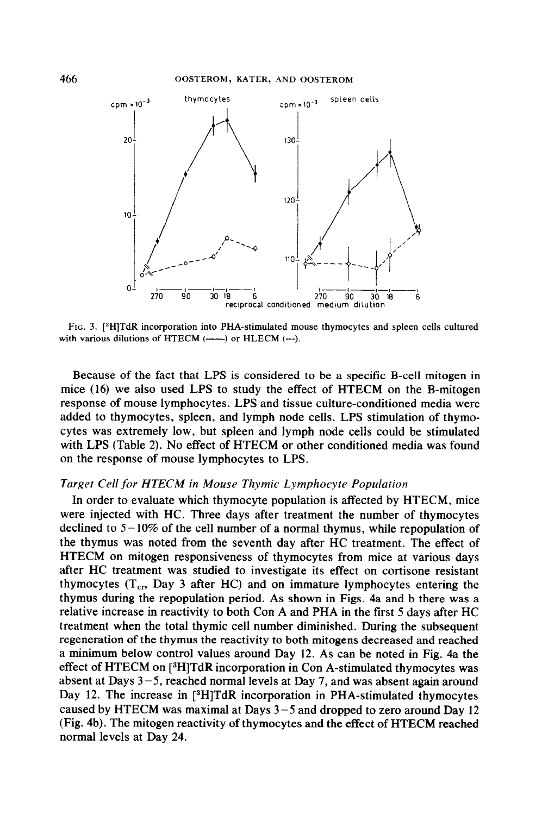

FIG. 3. [3H]TdR incorporation into PHA-stimulated mouse thymocytes and spleen cells cultured with various dilutions of HTECM (-----) or HLECM (---).

Because of the fact that LPS is considered to be a specific B-cell mitogen in mice (16) we also used LPS to study the effect of HTECM on the B-mitogen response of mouse lymphocytes. LPS and tissue culture-conditioned media were added to thymocytes, spleen, and lymph node cells. LPS stimulation of thymocytes was extremely low, but spleen and lymph node cells could be stimulated with LPS (Table 2). No effect of HTECM or other conditioned media was found on the response of mouse lymphocytes to LPS.

### Target Cell for HTECM in Mouse Thymic Lymphocyte Population

In order to evaluate which thymocyte population is affected by HTECM, mice were injected with HC. Three days after treatment the number of thymocytes declined to  $5-10\%$  of the cell number of a normal thymus, while repopulation of the thymus was noted from the seventh day after HC treatment. The effect of HTECM on mitogen responsiveness of thymocytes from mice at various days after HC treatment was studied to investigate its effect on cortisone resistant thymocytes  $(T_{cr},$  Day 3 after HC) and on immature lymphocytes entering the thymus during the repopulation period. As shown in Figs. 4a and b there was a relative increase in reactivity to both Con A and PHA in the first 5 days after HC treatment when the total thymic cell number diminished. During the subsequent regeneration of the thymus the reactivity to both mitogens decreased and reached a minimum below control values around Day 12. As can be noted in Fig. 4a the effect of HTECM on [3H]TdR incorporation in Con A-stimulated thymocytes was absent at Days  $3-5$ , reached normal levels at Day 7, and was absent again around Day 12. The increase in [<sup>3</sup>H]TdR incorporation in PHA-stimulated thymocytes caused by HTECM was maximal at Days  $3-5$  and dropped to zero around Day 12 (Fig. 4b). The mitogen reactivity of thymocytes and the effect of HTECM reached normal levels at Day 24.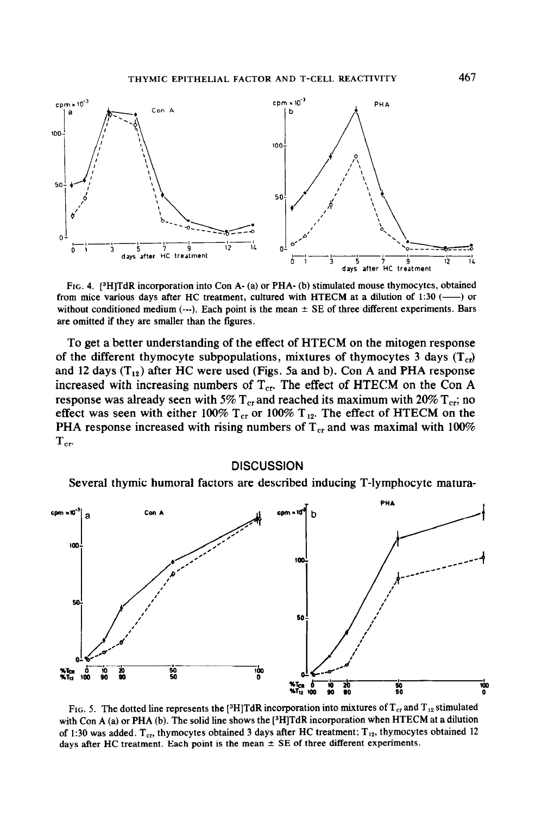

FIG. 4. [3H]TdR incorporation into Con A- (a) or PHA- (b) stimulated mouse thymocytes, obtained from mice various days after HC treatment, cultured with HTECM at a dilution of 1:30  $($ ---) or without conditioned medium  $(-)$ . Each point is the mean  $\pm$  SE of three different experiments. Bars are omitted if they are smaller than the figures.

To get a better understanding of the effect of HTECM on the mitogen response of the different thymocyte subpopulations, mixtures of thymocytes 3 days  $(T_{c})$ and 12 days  $(T_{12})$  after HC were used (Figs. 5a and b). Con A and PHA response increased with increasing numbers of  $T_{cr}$ . The effect of HTECM on the Con A response was already seen with 5%  $T_{cr}$  and reached its maximum with 20%  $T_{cr}$ ; no effect was seen with either 100%  $T_{cr}$  or 100%  $T_{12}$ . The effect of HTECM on the PHA response increased with rising numbers of  $T_{cr}$  and was maximal with 100%  $T_{cr}$ 

#### **DISCUSSION**

Several thymic humoral factors are described inducing T-lymphocyte matura-



FIG. 5. The dotted line represents the [<sup>3</sup>H]TdR incorporation into mixtures of T<sub>cr</sub> and T<sub>12</sub> stimulated with Con A (a) or PHA (b). The solid line shows the [<sup>3</sup>H]TdR incorporation when HTECM at a dilution of 1:30 was added.  $T_{cr}$ , thymocytes obtained 3 days after HC treatment:  $T_{12}$ , thymocytes obtained 12 days after HC treatment. Each point is the mean  $\pm$  SE of three different experiments.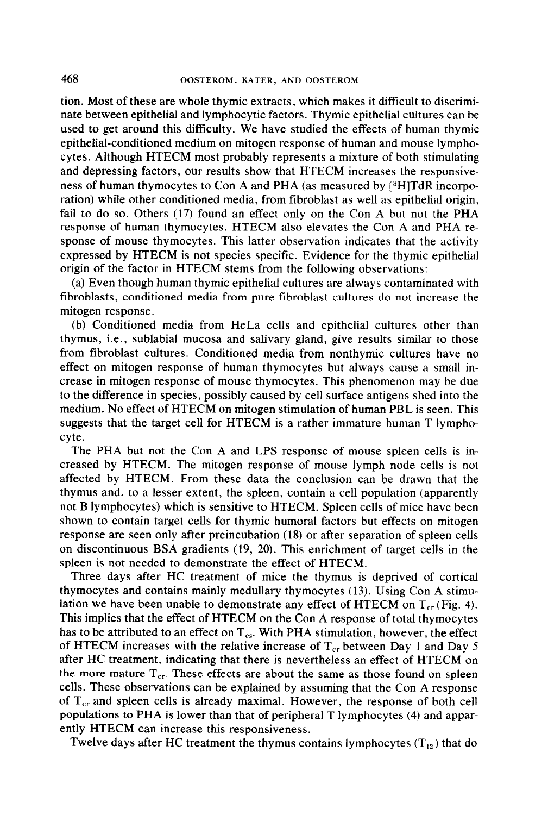tion. Most of these are whole thymic extracts, which makes it difftcult to discriminate between epithelial and lymphocytic factors. Thymic epithelial cultures can be used to get around this difficulty. We have studied the effects of human thymic epithelial-conditioned medium on mitogen response of human and mouse lymphocytes. Although HTECM most probably represents a mixture of both stimulating and depressing factors, our results show that HTECM increases the responsiveness of human thymocytes to Con A and PHA (as measured by  $[^{8}H]TdR$  incorporation) while other conditioned media, from fibroblast as well as epithelial origin, fail to do so. Others (17) found an effect only on the Con A but not the PHA response of human thymocytes. HTECM also elevates the Con A and PHA response of mouse thymocytes. This latter observation indicates that the activity expressed by HTECM is not species specific. Evidence for the thymic epithelial origin of the factor in HTECM stems from the following observations:

(a) Even though human thymic epithelial cultures are always contaminated with fibroblasts, conditioned media from pure fibroblast cultures do not increase the mitogen response.

(b) Conditioned media from HeLa cells and epithelial cultures other than thymus, i.e., sublabial mucosa and salivary gland, give results similar to those from fibroblast cultures. Conditioned media from nonthymic cultures have no effect on mitogen response of human thymocytes but always cause a small increase in mitogen response of mouse thymocytes. This phenomenon may be due to the difference in species, possibly caused by cell surface antigens shed into the medium. No effect of HTECM on mitogen stimulation of human PBL is seen. This suggests that the target cell for HTECM is a rather immature human T lymphocyte.

The PHA but not the Con A and LPS response of mouse spleen cells is increased by HTECM. The mitogen response of mouse lymph node cells is not affected by HTECM. From these data the conclusion can be drawn that the thymus and, to a lesser extent, the spleen, contain a cell population (apparently not B lymphocytes) which is sensitive to HTECM. Spleen cells of mice have been shown to contain target cells for thymic humoral factors but effects on mitogen response are seen only after preincubation (18) or after separation of spleen cells on discontinuous BSA gradients (19, 20). This enrichment of target cells in the spleen is not needed to demonstrate the effect of HTECM.

Three days after HC treatment of mice the thymus is deprived of cortical thymocytes and contains mainly medullary thymocytes (13). Using Con A stimulation we have been unable to demonstrate any effect of HTECM on  $T_{cr}$  (Fig. 4). This implies that the effect of HTECM on the Con A response of total thymocytes has to be attributed to an effect on  $T_{\text{cs}}$ . With PHA stimulation, however, the effect of HTECM increases with the relative increase of  $T_{cr}$  between Day 1 and Day 5 after HC treatment, indicating that there is nevertheless an effect of HTECM on the more mature  $T_{cr}$ . These effects are about the same as those found on spleen cells. These observations can be explained by assuming that the Con A response of  $T_{cr}$  and spleen cells is already maximal. However, the response of both cell populations to PHA is lower than that of peripheral T lymphocytes (4) and apparently HTECM can increase this responsiveness.

Twelve days after HC treatment the thymus contains lymphocytes  $(T_{12})$  that do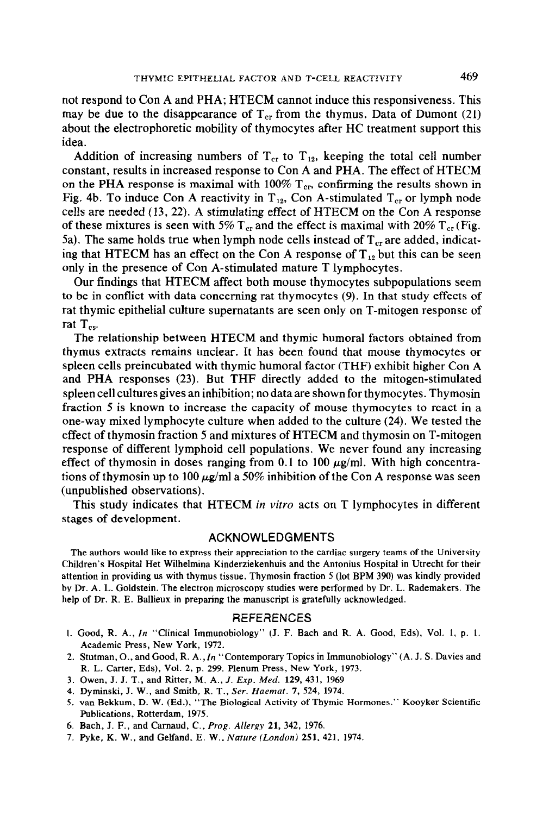not respond to Con A and PHA; HTECM cannot induce this responsiveness. This may be due to the disappearance of  $T_{cr}$  from the thymus. Data of Dumont (21) about the electrophoretic mobility of thymocytes after HC treatment support this idea.

Addition of increasing numbers of  $T_{cr}$  to  $T_{12}$ , keeping the total cell number constant, results in increased response to Con A and PHA. The effect of HTECM on the PHA response is maximal with 100%  $T_{cr}$ , confirming the results shown in Fig. 4b. To induce Con A reactivity in  $T_{12}$ , Con A-stimulated  $T_{cr}$  or lymph node cells are needed (13, 22). A stimulating effect of HTECM on the Con A response of these mixtures is seen with 5%  $T_{cr}$  and the effect is maximal with 20%  $T_{cr}$  (Fig. 5a). The same holds true when lymph node cells instead of  $T_{cr}$  are added, indicating that HTECM has an effect on the Con A response of  $T_{12}$  but this can be seen only in the presence of Con A-stimulated mature T lymphocytes.

Our findings that HTECM affect both mouse thymocytes subpopulations seem to be in conflict with data concerning rat thymocytes (9). In that study effects of rat thymic epithelial culture supernatants are seen only on T-mitogen response of rat  $T_{\rm es}$ .

The relationship between HTECM and thymic humoral factors obtained from thymus extracts remains unclear. It has been found that mouse thymocytes or spleen cells preincubated with thymic humoral factor (THF) exhibit higher Con A and PHA responses (23). But THF directly added to the mitogen-stimulated spleen cell cultures gives an inhibition; no data are shown for thymocytes. Thymosin fraction 5 is known to increase the capacity of mouse thymocytes to react in a one-way mixed lymphocyte culture when added to the culture (24). We tested the effect of thymosin fraction 5 and mixtures of HTECM and thymosin on T-mitogen response of different lymphoid cell populations. We never found any increasing effect of thymosin in doses ranging from 0.1 to 100  $\mu$ g/ml. With high concentrations of thymosin up to 100  $\mu$ g/ml a 50% inhibition of the Con A response was seen (unpublished observations).

This study indicates that HTECM in vitro acts on T lymphocytes in different stages of development.

## ACKNOWLEDGMENTS

The authors would like to express their appreciation to the cardiac surgery teams of the University Children's Hospital Het Wilhelmina Kinderziekenhuis and the Antonius Hospital in Utrecht for their attention in providing us with thymus tissue. Thymosin fraction S (lot BPM 390) was kindly provided by Dr. A. L. Goldstein. The electron microscopy studies were performed by Dr. L. Rademakers. The help of Dr. R. E. Ballieux in preparing the manuscript is gratefully acknowledged.

#### REFERENCES

- 1. Good, R. A., In "Clinical Immunobiology" (J. F. Bach and R. A. Good, Eds), Vol. 1, p. 1. Academic Press, New York, 1972.
- 2. Stutman, O., and Good, R. A.,ln "Contemporary Topics in Immunobiology" (A. J. S. Davies and R. L. Carter, Eds), Vol. 2, p. 299. Plenum Press, New York, 1973.
- 3. Owen, J. J. T., and Ritter, M. A., J. Exp. Med. 129, 431, 1969
- 4. Dyminski, J. W., and Smith, R. T., Ser. Haemat. 7, 524, 1974.
- 5. van Bekkum, D. W. (Ed.), "The Biological Activity of Thymic Hormones." Kooyker Scientific Publications, Rotterdam, 1975.
- 6. Bach, J. F., and Carnaud, C., Prog. Allergy 21, 342, 1976.
- 7. Pyke, K. W., and Gelfand, E. W., Nature (London) 251,421, 1974.